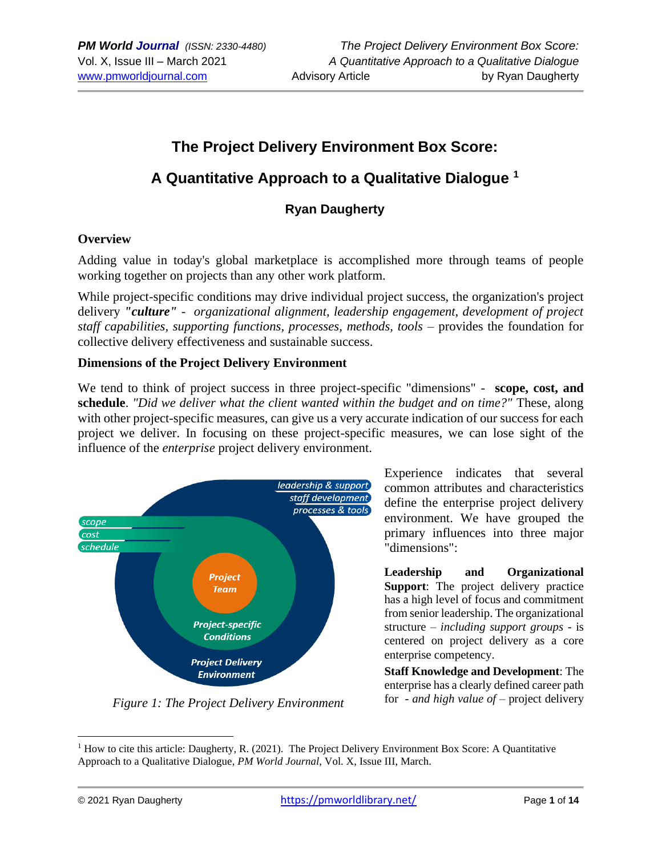# **The Project Delivery Environment Box Score: A Quantitative Approach to a Qualitative Dialogue <sup>1</sup>**

## **Ryan Daugherty**

#### **Overview**

Adding value in today's global marketplace is accomplished more through teams of people working together on projects than any other work platform.

While project-specific conditions may drive individual project success, the organization's project delivery *"culture" - organizational alignment, leadership engagement, development of project staff capabilities, supporting functions, processes, methods, tools* – provides the foundation for collective delivery effectiveness and sustainable success.

#### **Dimensions of the Project Delivery Environment**

We tend to think of project success in three project-specific "dimensions" - **scope, cost, and schedule**. *"Did we deliver what the client wanted within the budget and on time?"* These, along with other project-specific measures, can give us a very accurate indication of our success for each project we deliver. In focusing on these project-specific measures, we can lose sight of the influence of the *enterprise* project delivery environment.



*Figure 1: The Project Delivery Environment*

Experience indicates that several common attributes and characteristics define the enterprise project delivery environment. We have grouped the primary influences into three major "dimensions":

**Leadership and Organizational Support**: The project delivery practice has a high level of focus and commitment from senior leadership. The organizational structure – *including support groups* - is centered on project delivery as a core enterprise competency.

**Staff Knowledge and Development**: The enterprise has a clearly defined career path for - *and high value of* – project delivery

<sup>&</sup>lt;sup>1</sup> How to cite this article: Daugherty, R. (2021). The Project Delivery Environment Box Score: A Quantitative Approach to a Qualitative Dialogue, *PM World Journal*, Vol. X, Issue III, March.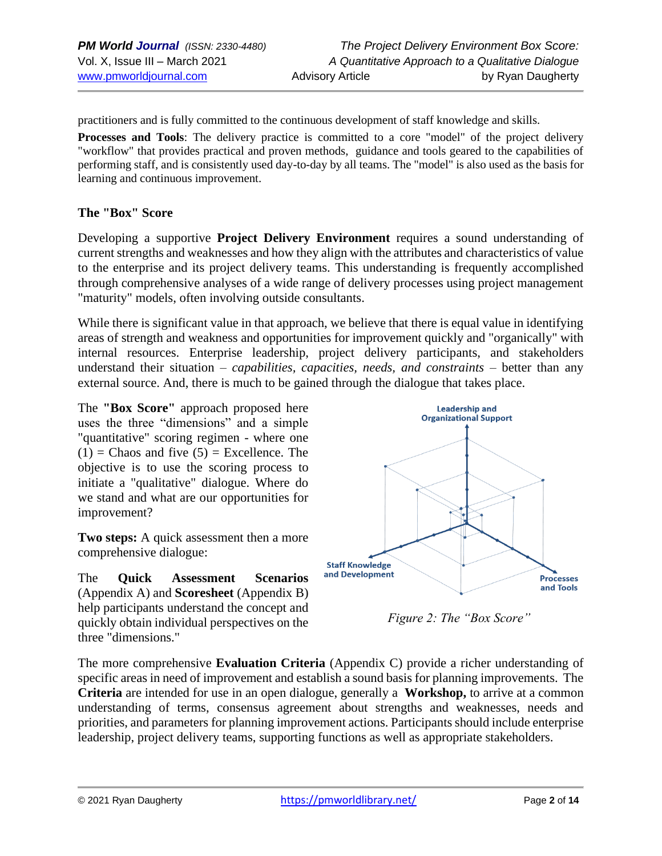practitioners and is fully committed to the continuous development of staff knowledge and skills.

**Processes and Tools**: The delivery practice is committed to a core "model" of the project delivery "workflow" that provides practical and proven methods, guidance and tools geared to the capabilities of performing staff, and is consistently used day-to-day by all teams. The "model" is also used as the basis for learning and continuous improvement.

#### **The "Box" Score**

Developing a supportive **Project Delivery Environment** requires a sound understanding of current strengths and weaknesses and how they align with the attributes and characteristics of value to the enterprise and its project delivery teams. This understanding is frequently accomplished through comprehensive analyses of a wide range of delivery processes using project management "maturity" models, often involving outside consultants.

While there is significant value in that approach, we believe that there is equal value in identifying areas of strength and weakness and opportunities for improvement quickly and "organically" with internal resources. Enterprise leadership, project delivery participants, and stakeholders understand their situation – *capabilities, capacities, needs, and constraints –* better than any external source. And, there is much to be gained through the dialogue that takes place.

The **"Box Score"** approach proposed here uses the three "dimensions" and a simple "quantitative" scoring regimen - where one  $(1)$  = Chaos and five  $(5)$  = Excellence. The objective is to use the scoring process to initiate a "qualitative" dialogue. Where do we stand and what are our opportunities for improvement?

**Two steps:** A quick assessment then a more comprehensive dialogue:

The **Quick Assessment Scenarios**  (Appendix A) and **Scoresheet** (Appendix B) help participants understand the concept and quickly obtain individual perspectives on the three "dimensions."



*Figure 2: The "Box Score"*

The more comprehensive **Evaluation Criteria** (Appendix C) provide a richer understanding of specific areas in need of improvement and establish a sound basis for planning improvements. The **Criteria** are intended for use in an open dialogue, generally a **Workshop,** to arrive at a common understanding of terms, consensus agreement about strengths and weaknesses, needs and priorities, and parameters for planning improvement actions. Participants should include enterprise leadership, project delivery teams, supporting functions as well as appropriate stakeholders.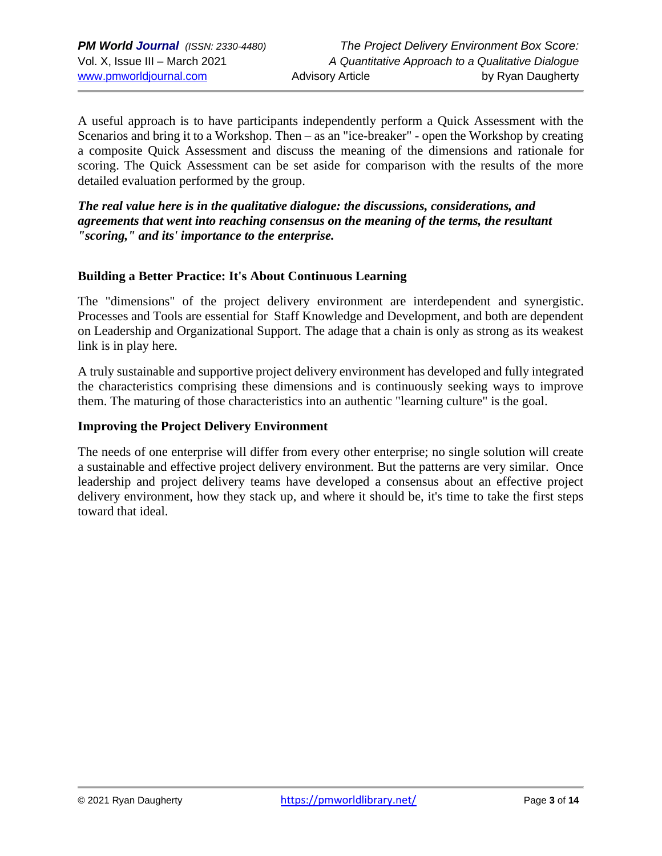A useful approach is to have participants independently perform a Quick Assessment with the Scenarios and bring it to a Workshop. Then – as an "ice-breaker" - open the Workshop by creating a composite Quick Assessment and discuss the meaning of the dimensions and rationale for scoring. The Quick Assessment can be set aside for comparison with the results of the more detailed evaluation performed by the group.

*The real value here is in the qualitative dialogue: the discussions, considerations, and agreements that went into reaching consensus on the meaning of the terms, the resultant "scoring," and its' importance to the enterprise.*

#### **Building a Better Practice: It's About Continuous Learning**

The "dimensions" of the project delivery environment are interdependent and synergistic. Processes and Tools are essential for Staff Knowledge and Development, and both are dependent on Leadership and Organizational Support. The adage that a chain is only as strong as its weakest link is in play here.

A truly sustainable and supportive project delivery environment has developed and fully integrated the characteristics comprising these dimensions and is continuously seeking ways to improve them. The maturing of those characteristics into an authentic "learning culture" is the goal.

#### **Improving the Project Delivery Environment**

The needs of one enterprise will differ from every other enterprise; no single solution will create a sustainable and effective project delivery environment. But the patterns are very similar. Once leadership and project delivery teams have developed a consensus about an effective project delivery environment, how they stack up, and where it should be, it's time to take the first steps toward that ideal.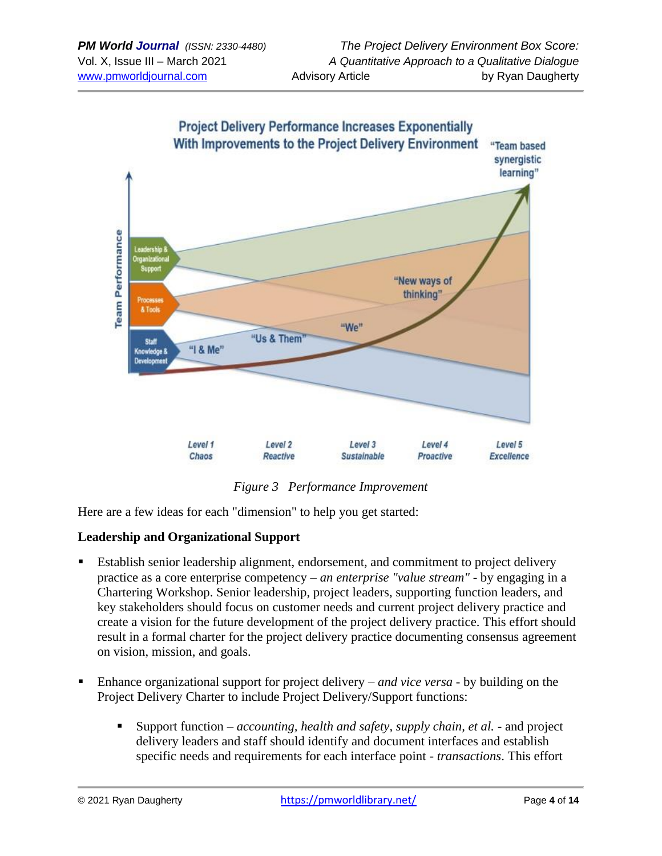

*Figure 3 Performance Improvement*

Here are a few ideas for each "dimension" to help you get started:

#### **Leadership and Organizational Support**

- Establish senior leadership alignment, endorsement, and commitment to project delivery practice as a core enterprise competency – *an enterprise "value stream"* - by engaging in a Chartering Workshop. Senior leadership, project leaders, supporting function leaders, and key stakeholders should focus on customer needs and current project delivery practice and create a vision for the future development of the project delivery practice. This effort should result in a formal charter for the project delivery practice documenting consensus agreement on vision, mission, and goals.
- Enhance organizational support for project delivery *and vice versa* by building on the Project Delivery Charter to include Project Delivery/Support functions:
	- Support function *accounting, health and safety, supply chain, et al.* and project delivery leaders and staff should identify and document interfaces and establish specific needs and requirements for each interface point *- transactions*. This effort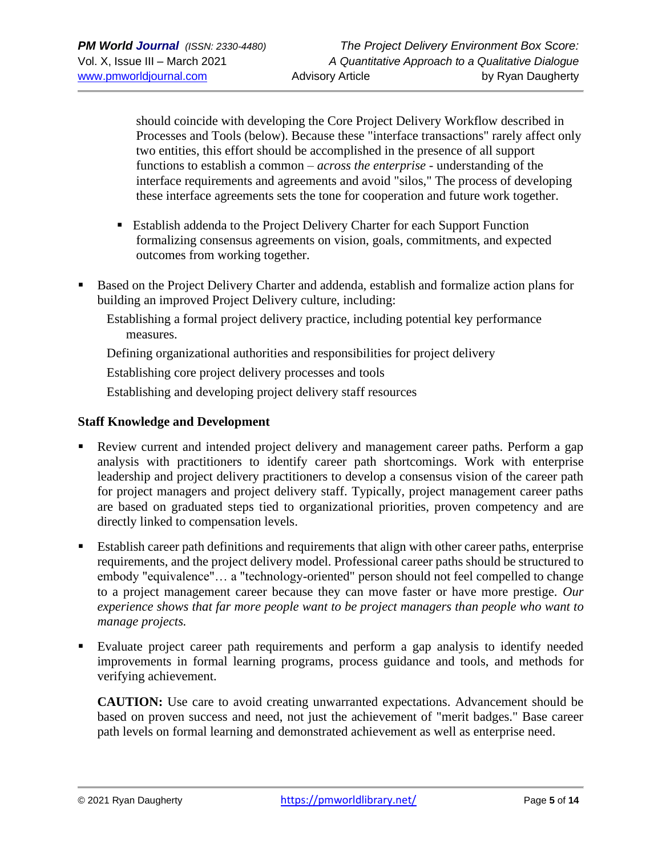should coincide with developing the Core Project Delivery Workflow described in Processes and Tools (below). Because these "interface transactions" rarely affect only two entities, this effort should be accomplished in the presence of all support functions to establish a common – *across the enterprise* - understanding of the interface requirements and agreements and avoid "silos," The process of developing these interface agreements sets the tone for cooperation and future work together.

- Establish addenda to the Project Delivery Charter for each Support Function formalizing consensus agreements on vision, goals, commitments, and expected outcomes from working together.
- Based on the Project Delivery Charter and addenda, establish and formalize action plans for building an improved Project Delivery culture, including:
	- Establishing a formal project delivery practice, including potential key performance measures.

Defining organizational authorities and responsibilities for project delivery

Establishing core project delivery processes and tools

Establishing and developing project delivery staff resources

#### **Staff Knowledge and Development**

- Review current and intended project delivery and management career paths. Perform a gap analysis with practitioners to identify career path shortcomings. Work with enterprise leadership and project delivery practitioners to develop a consensus vision of the career path for project managers and project delivery staff. Typically, project management career paths are based on graduated steps tied to organizational priorities, proven competency and are directly linked to compensation levels.
- Establish career path definitions and requirements that align with other career paths, enterprise requirements, and the project delivery model. Professional career paths should be structured to embody "equivalence"… a "technology-oriented" person should not feel compelled to change to a project management career because they can move faster or have more prestige. *Our experience shows that far more people want to be project managers than people who want to manage projects.*
- Evaluate project career path requirements and perform a gap analysis to identify needed improvements in formal learning programs, process guidance and tools, and methods for verifying achievement.

**CAUTION:** Use care to avoid creating unwarranted expectations. Advancement should be based on proven success and need, not just the achievement of "merit badges." Base career path levels on formal learning and demonstrated achievement as well as enterprise need.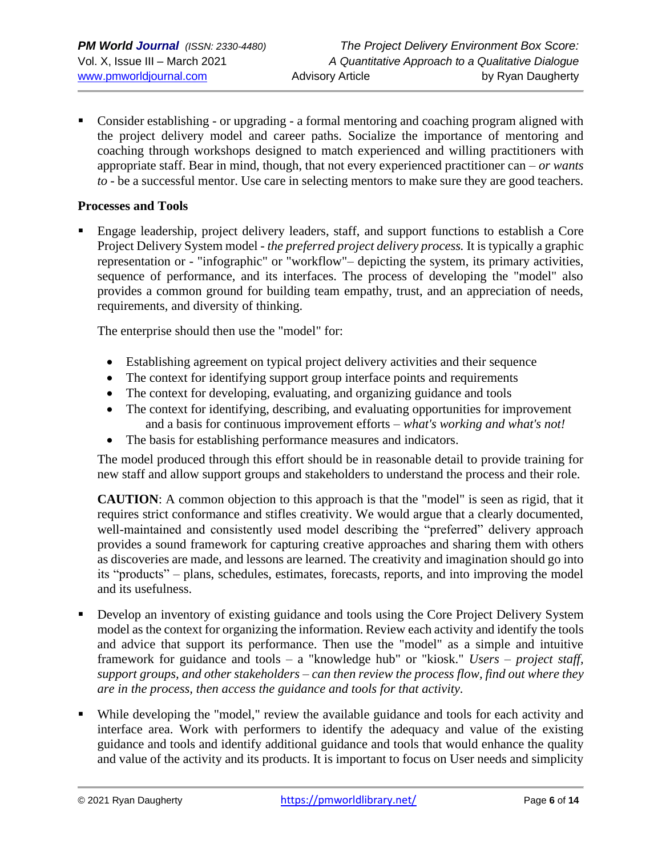Consider establishing - or upgrading - a formal mentoring and coaching program aligned with the project delivery model and career paths. Socialize the importance of mentoring and coaching through workshops designed to match experienced and willing practitioners with appropriate staff. Bear in mind, though, that not every experienced practitioner can – *or wants to* - be a successful mentor. Use care in selecting mentors to make sure they are good teachers.

#### **Processes and Tools**

Engage leadership, project delivery leaders, staff, and support functions to establish a Core Project Delivery System model - *the preferred project delivery process.* It is typically a graphic representation or - "infographic" or "workflow"– depicting the system, its primary activities, sequence of performance, and its interfaces. The process of developing the "model" also provides a common ground for building team empathy, trust, and an appreciation of needs, requirements, and diversity of thinking.

The enterprise should then use the "model" for:

- Establishing agreement on typical project delivery activities and their sequence
- The context for identifying support group interface points and requirements
- The context for developing, evaluating, and organizing guidance and tools
- The context for identifying, describing, and evaluating opportunities for improvement and a basis for continuous improvement efforts – *what's working and what's not!*
- The basis for establishing performance measures and indicators.

The model produced through this effort should be in reasonable detail to provide training for new staff and allow support groups and stakeholders to understand the process and their role.

**CAUTION**: A common objection to this approach is that the "model" is seen as rigid, that it requires strict conformance and stifles creativity. We would argue that a clearly documented, well-maintained and consistently used model describing the "preferred" delivery approach provides a sound framework for capturing creative approaches and sharing them with others as discoveries are made, and lessons are learned. The creativity and imagination should go into its "products" – plans, schedules, estimates, forecasts, reports, and into improving the model and its usefulness.

- Develop an inventory of existing guidance and tools using the Core Project Delivery System model as the context for organizing the information. Review each activity and identify the tools and advice that support its performance. Then use the "model" as a simple and intuitive framework for guidance and tools – a "knowledge hub" or "kiosk." *Users – project staff, support groups, and other stakeholders – can then review the process flow, find out where they are in the process, then access the guidance and tools for that activity.*
- While developing the "model," review the available guidance and tools for each activity and interface area. Work with performers to identify the adequacy and value of the existing guidance and tools and identify additional guidance and tools that would enhance the quality and value of the activity and its products. It is important to focus on User needs and simplicity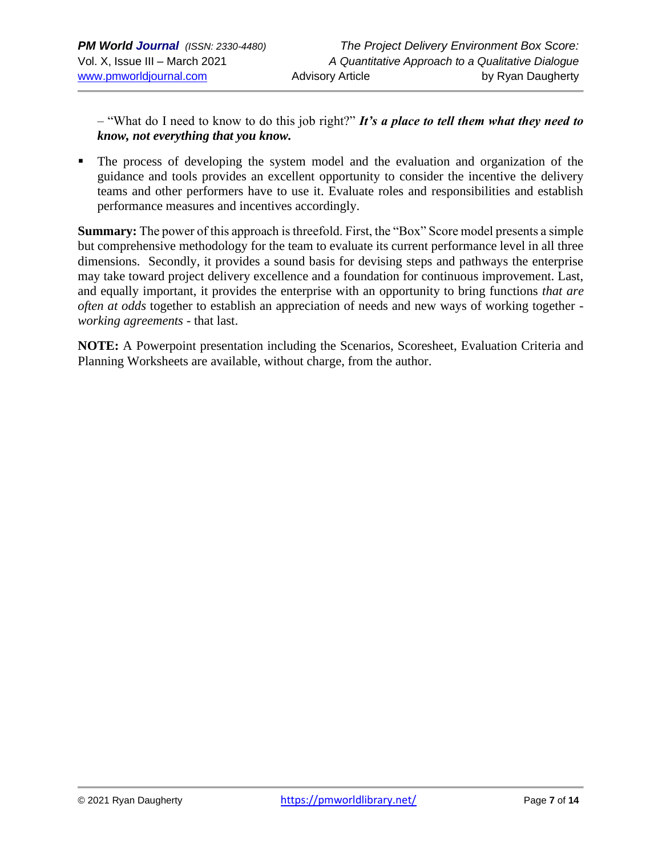– "What do I need to know to do this job right?" *It's a place to tell them what they need to know, not everything that you know.*

The process of developing the system model and the evaluation and organization of the guidance and tools provides an excellent opportunity to consider the incentive the delivery teams and other performers have to use it. Evaluate roles and responsibilities and establish performance measures and incentives accordingly.

**Summary:** The power of this approach is threefold. First, the "Box" Score model presents a simple but comprehensive methodology for the team to evaluate its current performance level in all three dimensions. Secondly, it provides a sound basis for devising steps and pathways the enterprise may take toward project delivery excellence and a foundation for continuous improvement. Last, and equally important, it provides the enterprise with an opportunity to bring functions *that are often at odds* together to establish an appreciation of needs and new ways of working together *working agreements* - that last.

**NOTE:** A Powerpoint presentation including the Scenarios, Scoresheet, Evaluation Criteria and Planning Worksheets are available, without charge, from the author.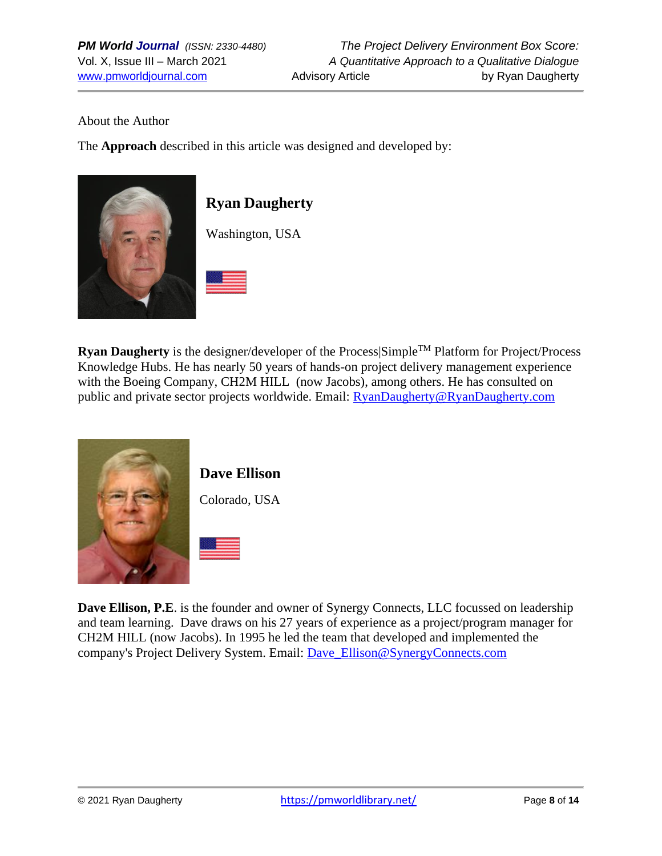#### About the Author

The **Approach** described in this article was designed and developed by:



# **Ryan Daugherty**

Washington, USA

**Ryan Daugherty** is the designer/developer of the Process Simple<sup>TM</sup> Platform for Project/Process Knowledge Hubs. He has nearly 50 years of hands-on project delivery management experience with the Boeing Company, CH2M HILL (now Jacobs), among others. He has consulted on public and private sector projects worldwide. Email: **RyanDaugherty@RyanDaugherty.com** 



# **Dave Ellison**

Colorado, USA



**Dave Ellison, P.E**. is the founder and owner of Synergy Connects, LLC focussed on leadership and team learning. Dave draws on his 27 years of experience as a project/program manager for CH2M HILL (now Jacobs). In 1995 he led the team that developed and implemented the company's Project Delivery System. Email: [Dave\\_Ellison@SynergyConnects.com](mailto:Dave_Ellison@SynergyConnects.com)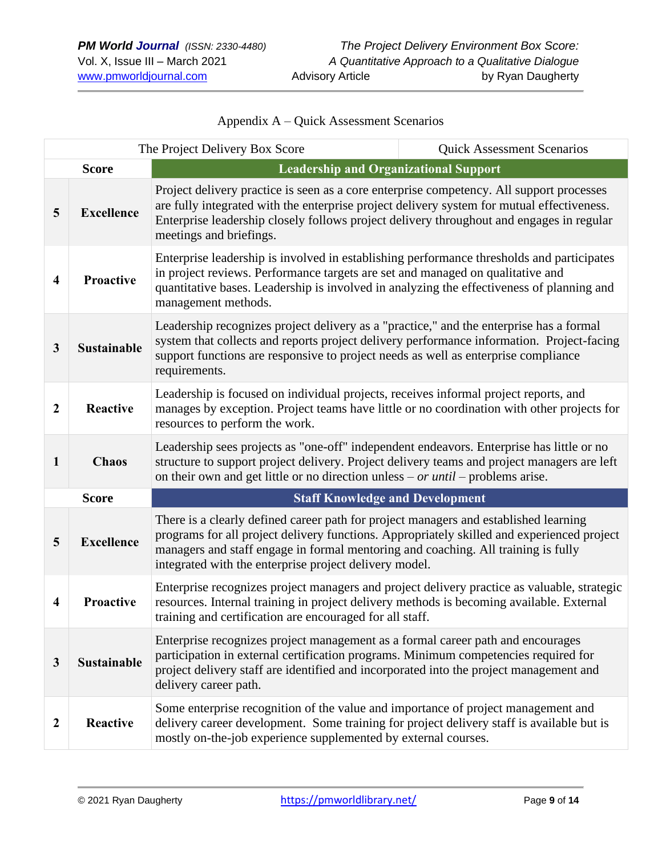| The Project Delivery Box Score<br><b>Quick Assessment Scenarios</b> |                    |                                                                                                                                                                                                                                                                                                                                   |  |  |  |  |
|---------------------------------------------------------------------|--------------------|-----------------------------------------------------------------------------------------------------------------------------------------------------------------------------------------------------------------------------------------------------------------------------------------------------------------------------------|--|--|--|--|
|                                                                     | <b>Score</b>       | <b>Leadership and Organizational Support</b>                                                                                                                                                                                                                                                                                      |  |  |  |  |
| 5                                                                   | <b>Excellence</b>  | Project delivery practice is seen as a core enterprise competency. All support processes<br>are fully integrated with the enterprise project delivery system for mutual effectiveness.<br>Enterprise leadership closely follows project delivery throughout and engages in regular<br>meetings and briefings.                     |  |  |  |  |
| $\overline{\mathbf{4}}$                                             | <b>Proactive</b>   | Enterprise leadership is involved in establishing performance thresholds and participates<br>in project reviews. Performance targets are set and managed on qualitative and<br>quantitative bases. Leadership is involved in analyzing the effectiveness of planning and<br>management methods.                                   |  |  |  |  |
| 3                                                                   | <b>Sustainable</b> | Leadership recognizes project delivery as a "practice," and the enterprise has a formal<br>system that collects and reports project delivery performance information. Project-facing<br>support functions are responsive to project needs as well as enterprise compliance<br>requirements.                                       |  |  |  |  |
| $\overline{2}$                                                      | <b>Reactive</b>    | Leadership is focused on individual projects, receives informal project reports, and<br>manages by exception. Project teams have little or no coordination with other projects for<br>resources to perform the work.                                                                                                              |  |  |  |  |
| $\mathbf{1}$                                                        | <b>Chaos</b>       | Leadership sees projects as "one-off" independent endeavors. Enterprise has little or no<br>structure to support project delivery. Project delivery teams and project managers are left<br>on their own and get little or no direction unless – or until – problems arise.                                                        |  |  |  |  |
| <b>Score</b>                                                        |                    | <b>Staff Knowledge and Development</b>                                                                                                                                                                                                                                                                                            |  |  |  |  |
| 5                                                                   | <b>Excellence</b>  | There is a clearly defined career path for project managers and established learning<br>programs for all project delivery functions. Appropriately skilled and experienced project<br>managers and staff engage in formal mentoring and coaching. All training is fully<br>integrated with the enterprise project delivery model. |  |  |  |  |
| $\overline{4}$                                                      | Proactive          | Enterprise recognizes project managers and project delivery practice as valuable, strategic<br>resources. Internal training in project delivery methods is becoming available. External<br>training and certification are encouraged for all staff.                                                                               |  |  |  |  |
| 3                                                                   | Sustainable        | Enterprise recognizes project management as a formal career path and encourages<br>participation in external certification programs. Minimum competencies required for<br>project delivery staff are identified and incorporated into the project management and<br>delivery career path.                                         |  |  |  |  |
| $\boldsymbol{2}$                                                    | Reactive           | Some enterprise recognition of the value and importance of project management and<br>delivery career development. Some training for project delivery staff is available but is<br>mostly on-the-job experience supplemented by external courses.                                                                                  |  |  |  |  |

Appendix A – Quick Assessment Scenarios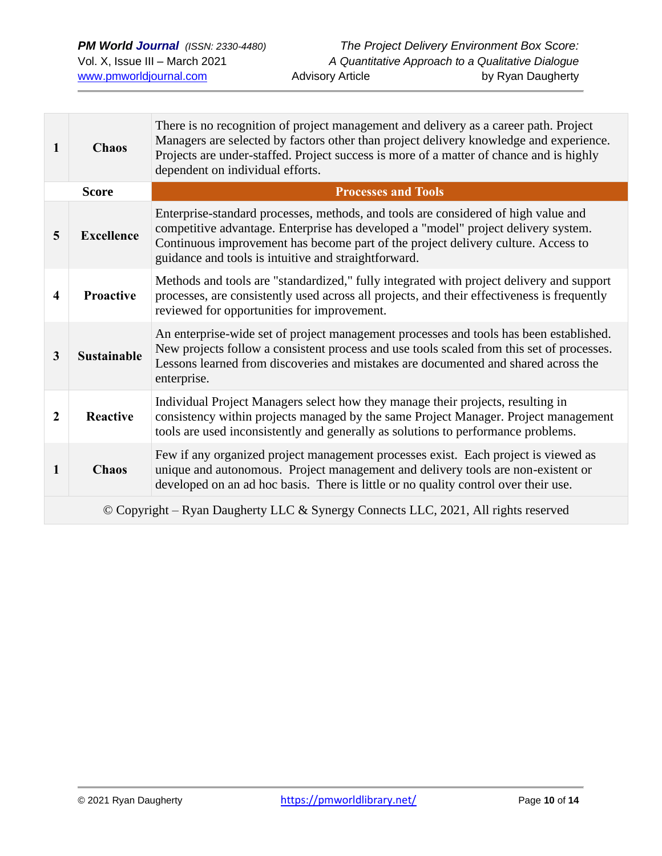| $\mathbf{1}$                                                                       | <b>Chaos</b>       | There is no recognition of project management and delivery as a career path. Project<br>Managers are selected by factors other than project delivery knowledge and experience.<br>Projects are under-staffed. Project success is more of a matter of chance and is highly<br>dependent on individual efforts.         |  |  |
|------------------------------------------------------------------------------------|--------------------|-----------------------------------------------------------------------------------------------------------------------------------------------------------------------------------------------------------------------------------------------------------------------------------------------------------------------|--|--|
| <b>Score</b>                                                                       |                    | <b>Processes and Tools</b>                                                                                                                                                                                                                                                                                            |  |  |
| 5                                                                                  | <b>Excellence</b>  | Enterprise-standard processes, methods, and tools are considered of high value and<br>competitive advantage. Enterprise has developed a "model" project delivery system.<br>Continuous improvement has become part of the project delivery culture. Access to<br>guidance and tools is intuitive and straightforward. |  |  |
| $\overline{\mathbf{4}}$                                                            | <b>Proactive</b>   | Methods and tools are "standardized," fully integrated with project delivery and support<br>processes, are consistently used across all projects, and their effectiveness is frequently<br>reviewed for opportunities for improvement.                                                                                |  |  |
| $\mathbf{3}$                                                                       | <b>Sustainable</b> | An enterprise-wide set of project management processes and tools has been established.<br>New projects follow a consistent process and use tools scaled from this set of processes.<br>Lessons learned from discoveries and mistakes are documented and shared across the<br>enterprise.                              |  |  |
| $\boldsymbol{2}$                                                                   | <b>Reactive</b>    | Individual Project Managers select how they manage their projects, resulting in<br>consistency within projects managed by the same Project Manager. Project management<br>tools are used inconsistently and generally as solutions to performance problems.                                                           |  |  |
| $\mathbf{1}$                                                                       | <b>Chaos</b>       | Few if any organized project management processes exist. Each project is viewed as<br>unique and autonomous. Project management and delivery tools are non-existent or<br>developed on an ad hoc basis. There is little or no quality control over their use.                                                         |  |  |
| © Copyright – Ryan Daugherty LLC & Synergy Connects LLC, 2021, All rights reserved |                    |                                                                                                                                                                                                                                                                                                                       |  |  |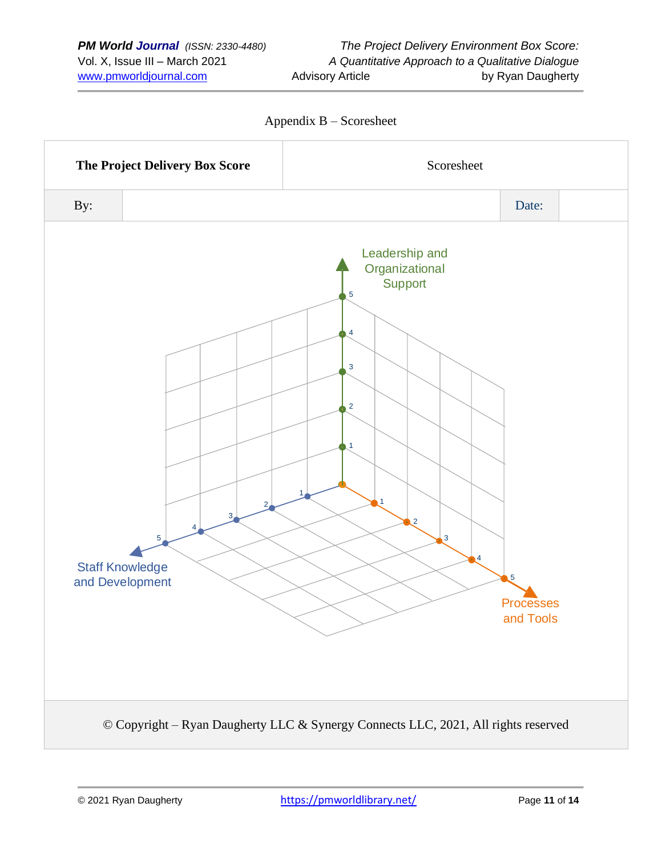

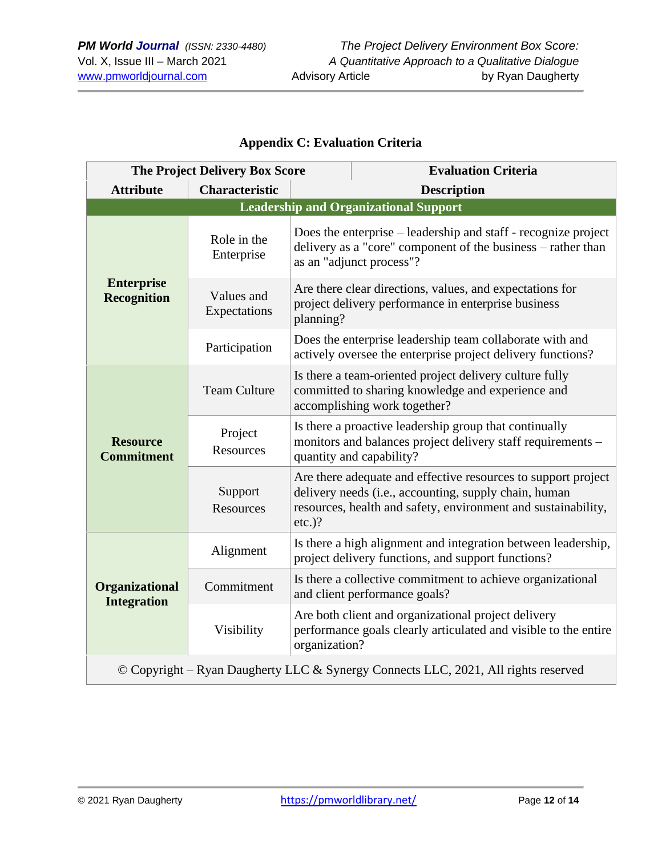## **Appendix C: Evaluation Criteria**

| <b>The Project Delivery Box Score</b>                                              |                                              |                                                                                                                                                   | <b>Evaluation Criteria</b>                                                                                                                                                              |  |  |
|------------------------------------------------------------------------------------|----------------------------------------------|---------------------------------------------------------------------------------------------------------------------------------------------------|-----------------------------------------------------------------------------------------------------------------------------------------------------------------------------------------|--|--|
| <b>Attribute</b>                                                                   | <b>Characteristic</b>                        |                                                                                                                                                   | <b>Description</b>                                                                                                                                                                      |  |  |
|                                                                                    | <b>Leadership and Organizational Support</b> |                                                                                                                                                   |                                                                                                                                                                                         |  |  |
|                                                                                    | Role in the<br>Enterprise                    |                                                                                                                                                   | Does the enterprise – leadership and staff - recognize project<br>delivery as a "core" component of the business – rather than<br>as an "adjunct process"?                              |  |  |
| <b>Enterprise</b><br><b>Recognition</b>                                            | Values and<br>Expectations                   | Are there clear directions, values, and expectations for<br>project delivery performance in enterprise business<br>planning?                      |                                                                                                                                                                                         |  |  |
|                                                                                    | Participation                                | Does the enterprise leadership team collaborate with and<br>actively oversee the enterprise project delivery functions?                           |                                                                                                                                                                                         |  |  |
|                                                                                    | <b>Team Culture</b>                          | Is there a team-oriented project delivery culture fully<br>committed to sharing knowledge and experience and<br>accomplishing work together?      |                                                                                                                                                                                         |  |  |
| <b>Resource</b><br><b>Commitment</b>                                               | Project<br>Resources                         | Is there a proactive leadership group that continually<br>monitors and balances project delivery staff requirements –<br>quantity and capability? |                                                                                                                                                                                         |  |  |
|                                                                                    | Support<br>Resources                         | $etc.$ )?                                                                                                                                         | Are there adequate and effective resources to support project<br>delivery needs (i.e., accounting, supply chain, human<br>resources, health and safety, environment and sustainability, |  |  |
|                                                                                    | Alignment                                    |                                                                                                                                                   | Is there a high alignment and integration between leadership,<br>project delivery functions, and support functions?                                                                     |  |  |
| Organizational<br><b>Integration</b>                                               | Commitment                                   |                                                                                                                                                   | Is there a collective commitment to achieve organizational<br>and client performance goals?                                                                                             |  |  |
|                                                                                    | Visibility                                   | organization?                                                                                                                                     | Are both client and organizational project delivery<br>performance goals clearly articulated and visible to the entire                                                                  |  |  |
| © Copyright - Ryan Daugherty LLC & Synergy Connects LLC, 2021, All rights reserved |                                              |                                                                                                                                                   |                                                                                                                                                                                         |  |  |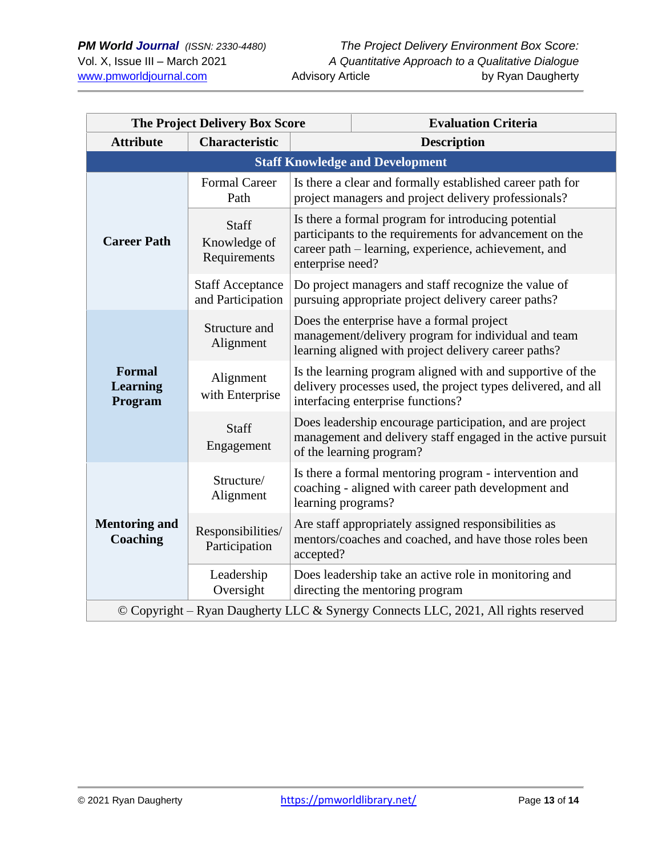| <b>The Project Delivery Box Score</b>                                              |                                              |                                                                                                                                                                                            | <b>Evaluation Criteria</b>                                                                                                                          |  |
|------------------------------------------------------------------------------------|----------------------------------------------|--------------------------------------------------------------------------------------------------------------------------------------------------------------------------------------------|-----------------------------------------------------------------------------------------------------------------------------------------------------|--|
| <b>Attribute</b>                                                                   | <b>Characteristic</b>                        |                                                                                                                                                                                            | <b>Description</b>                                                                                                                                  |  |
| <b>Staff Knowledge and Development</b>                                             |                                              |                                                                                                                                                                                            |                                                                                                                                                     |  |
|                                                                                    | <b>Formal Career</b><br>Path                 |                                                                                                                                                                                            | Is there a clear and formally established career path for<br>project managers and project delivery professionals?                                   |  |
| <b>Career Path</b>                                                                 | Staff<br>Knowledge of<br>Requirements        | Is there a formal program for introducing potential<br>participants to the requirements for advancement on the<br>career path – learning, experience, achievement, and<br>enterprise need? |                                                                                                                                                     |  |
|                                                                                    | <b>Staff Acceptance</b><br>and Participation | Do project managers and staff recognize the value of<br>pursuing appropriate project delivery career paths?                                                                                |                                                                                                                                                     |  |
|                                                                                    | Structure and<br>Alignment                   | Does the enterprise have a formal project<br>management/delivery program for individual and team<br>learning aligned with project delivery career paths?                                   |                                                                                                                                                     |  |
| <b>Formal</b><br><b>Learning</b><br>Program                                        | Alignment<br>with Enterprise                 | Is the learning program aligned with and supportive of the<br>delivery processes used, the project types delivered, and all<br>interfacing enterprise functions?                           |                                                                                                                                                     |  |
|                                                                                    | <b>Staff</b><br>Engagement                   |                                                                                                                                                                                            | Does leadership encourage participation, and are project<br>management and delivery staff engaged in the active pursuit<br>of the learning program? |  |
|                                                                                    | Structure/<br>Alignment                      | learning programs?                                                                                                                                                                         | Is there a formal mentoring program - intervention and<br>coaching - aligned with career path development and                                       |  |
| <b>Mentoring and</b><br><b>Coaching</b>                                            | Responsibilities/<br>Participation           | accepted?                                                                                                                                                                                  | Are staff appropriately assigned responsibilities as<br>mentors/coaches and coached, and have those roles been                                      |  |
|                                                                                    | Leadership<br>Oversight                      |                                                                                                                                                                                            | Does leadership take an active role in monitoring and<br>directing the mentoring program                                                            |  |
| © Copyright – Ryan Daugherty LLC & Synergy Connects LLC, 2021, All rights reserved |                                              |                                                                                                                                                                                            |                                                                                                                                                     |  |